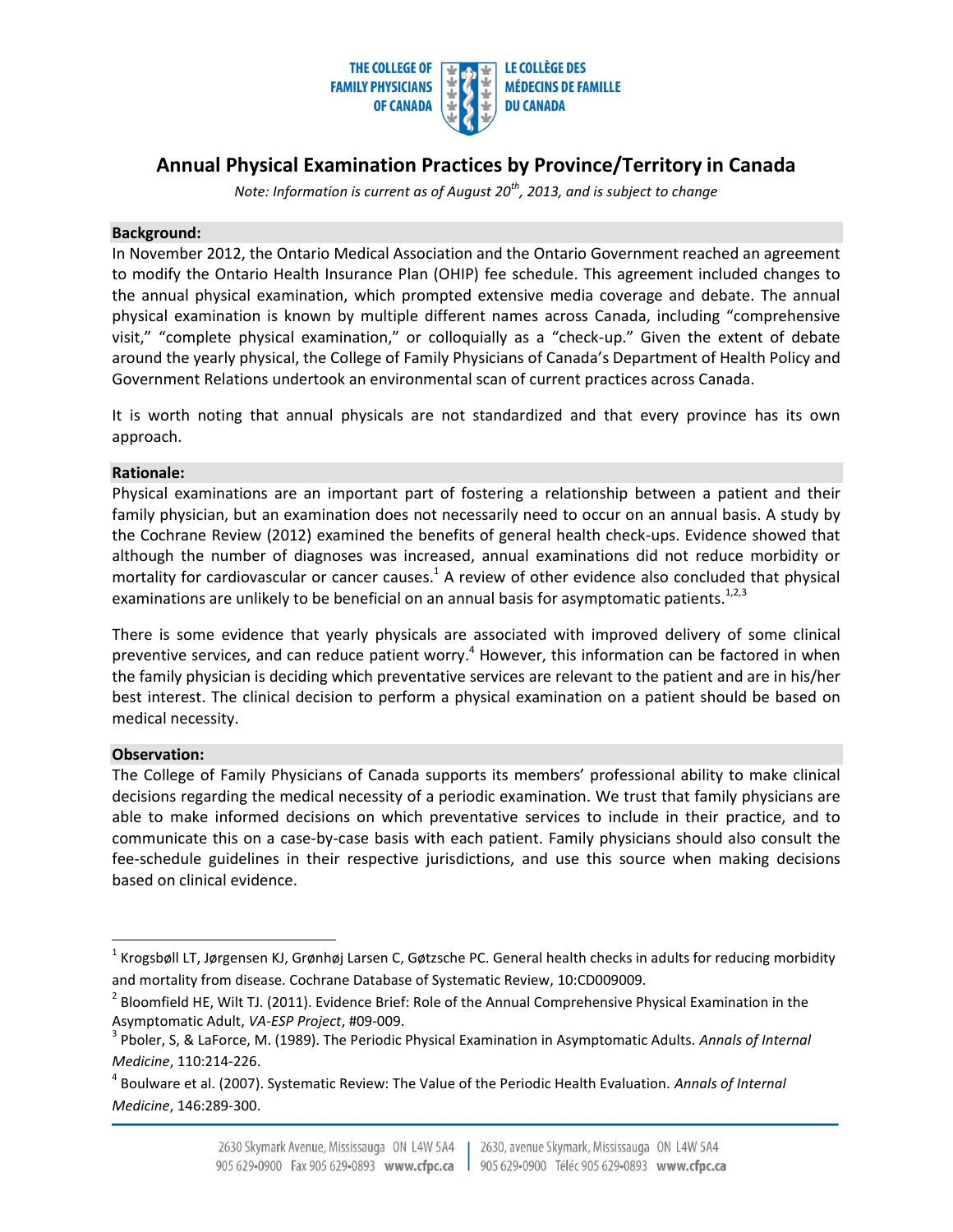

# **Annual Physical Examination Practices by Province/Territory in Canada**

*Note: Information is current as of August 20th, 2013, and is subject to change* 

### **Background:**

In November 2012, the Ontario Medical Association and the Ontario Government reached an agreement to modify the Ontario Health Insurance Plan (OHIP) fee schedule. This agreement included changes to the annual physical examination, which prompted extensive media coverage and debate. The annual physical examination is known by multiple different names across Canada, including "comprehensive visit," "complete physical examination," or colloquially as a "check-up." Given the extent of debate around the yearly physical, the College of Family Physicians of Canada's Department of Health Policy and Government Relations undertook an environmental scan of current practices across Canada.

It is worth noting that annual physicals are not standardized and that every province has its own approach.

#### **Rationale:**

Physical examinations are an important part of fostering a relationship between a patient and their family physician, but an examination does not necessarily need to occur on an annual basis. A study by the Cochrane Review (2012) examined the benefits of general health check-ups. Evidence showed that although the number of diagnoses was increased, annual examinations did not reduce morbidity or mortality for cardiovascular or cancer causes.<sup>1</sup> A review of other evidence also concluded that physical examinations are unlikely to be beneficial on an annual basis for asymptomatic patients. $^{1,2,3}$ 

There is some evidence that yearly physicals are associated with improved delivery of some clinical preventive services, and can reduce patient worry.<sup>4</sup> However, this information can be factored in when the family physician is deciding which preventative services are relevant to the patient and are in his/her best interest. The clinical decision to perform a physical examination on a patient should be based on medical necessity.

## **Observation:**

 $\overline{a}$ 

The College of Family Physicians of Canada supports its members' professional ability to make clinical decisions regarding the medical necessity of a periodic examination. We trust that family physicians are able to make informed decisions on which preventative services to include in their practice, and to communicate this on a case-by-case basis with each patient. Family physicians should also consult the fee-schedule guidelines in their respective jurisdictions, and use this source when making decisions based on clinical evidence.

<sup>&</sup>lt;sup>1</sup> Krogsbøll LT, Jørgensen KJ, Grønhøj Larsen C, Gøtzsche PC. General health checks in adults for reducing morbidity and mortality from disease. Cochrane Database of Systematic Review, 10:CD009009.

 $^2$  Bloomfield HE, Wilt TJ. (2011). Evidence Brief: Role of the Annual Comprehensive Physical Examination in the Asymptomatic Adult, *VA-ESP Project*, #09-009.

<sup>3</sup> Pboler, S, & LaForce, M. (1989). The Periodic Physical Examination in Asymptomatic Adults. *Annals of Internal Medicine*, 110:214-226.

<sup>4</sup> Boulware et al. (2007). Systematic Review: The Value of the Periodic Health Evaluation. *Annals of Internal Medicine*, 146:289-300.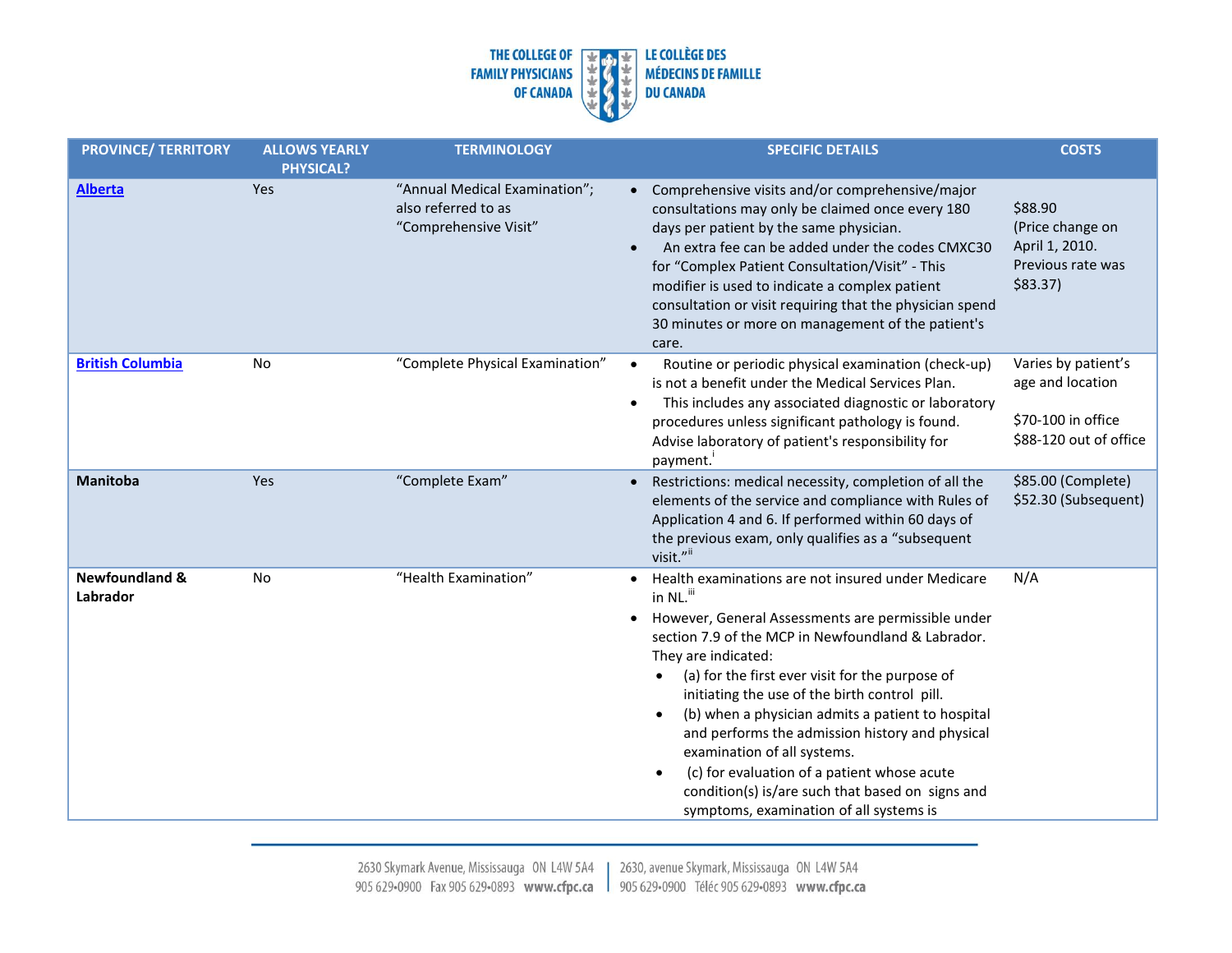

| <b>PROVINCE/ TERRITORY</b>            | <b>ALLOWS YEARLY</b><br><b>PHYSICAL?</b> | <b>TERMINOLOGY</b>                                                            | <b>SPECIFIC DETAILS</b>                                                                                                                                                                                                                                                                                                                                                                                                                                                                                                                                                                                                                          | <b>COSTS</b>                                                                            |
|---------------------------------------|------------------------------------------|-------------------------------------------------------------------------------|--------------------------------------------------------------------------------------------------------------------------------------------------------------------------------------------------------------------------------------------------------------------------------------------------------------------------------------------------------------------------------------------------------------------------------------------------------------------------------------------------------------------------------------------------------------------------------------------------------------------------------------------------|-----------------------------------------------------------------------------------------|
| <b>Alberta</b>                        | Yes                                      | "Annual Medical Examination";<br>also referred to as<br>"Comprehensive Visit" | • Comprehensive visits and/or comprehensive/major<br>consultations may only be claimed once every 180<br>days per patient by the same physician.<br>An extra fee can be added under the codes CMXC30<br>for "Complex Patient Consultation/Visit" - This<br>modifier is used to indicate a complex patient<br>consultation or visit requiring that the physician spend<br>30 minutes or more on management of the patient's<br>care.                                                                                                                                                                                                              | \$88.90<br>(Price change on<br>April 1, 2010.<br>Previous rate was<br>$$83.37$ )        |
| <b>British Columbia</b>               | <b>No</b>                                | "Complete Physical Examination"                                               | Routine or periodic physical examination (check-up)<br>$\bullet$<br>is not a benefit under the Medical Services Plan.<br>This includes any associated diagnostic or laboratory<br>$\bullet$<br>procedures unless significant pathology is found.<br>Advise laboratory of patient's responsibility for<br>payment.                                                                                                                                                                                                                                                                                                                                | Varies by patient's<br>age and location<br>\$70-100 in office<br>\$88-120 out of office |
| <b>Manitoba</b>                       | Yes                                      | "Complete Exam"                                                               | Restrictions: medical necessity, completion of all the<br>$\bullet$<br>elements of the service and compliance with Rules of<br>Application 4 and 6. If performed within 60 days of<br>the previous exam, only qualifies as a "subsequent<br>visit." <sup>ii</sup>                                                                                                                                                                                                                                                                                                                                                                                | \$85.00 (Complete)<br>\$52.30 (Subsequent)                                              |
| <b>Newfoundland &amp;</b><br>Labrador | No                                       | "Health Examination"                                                          | • Health examinations are not insured under Medicare<br>in NL. <sup>iii</sup><br>However, General Assessments are permissible under<br>$\bullet$<br>section 7.9 of the MCP in Newfoundland & Labrador.<br>They are indicated:<br>(a) for the first ever visit for the purpose of<br>initiating the use of the birth control pill.<br>(b) when a physician admits a patient to hospital<br>$\bullet$<br>and performs the admission history and physical<br>examination of all systems.<br>(c) for evaluation of a patient whose acute<br>$\bullet$<br>condition(s) is/are such that based on signs and<br>symptoms, examination of all systems is | N/A                                                                                     |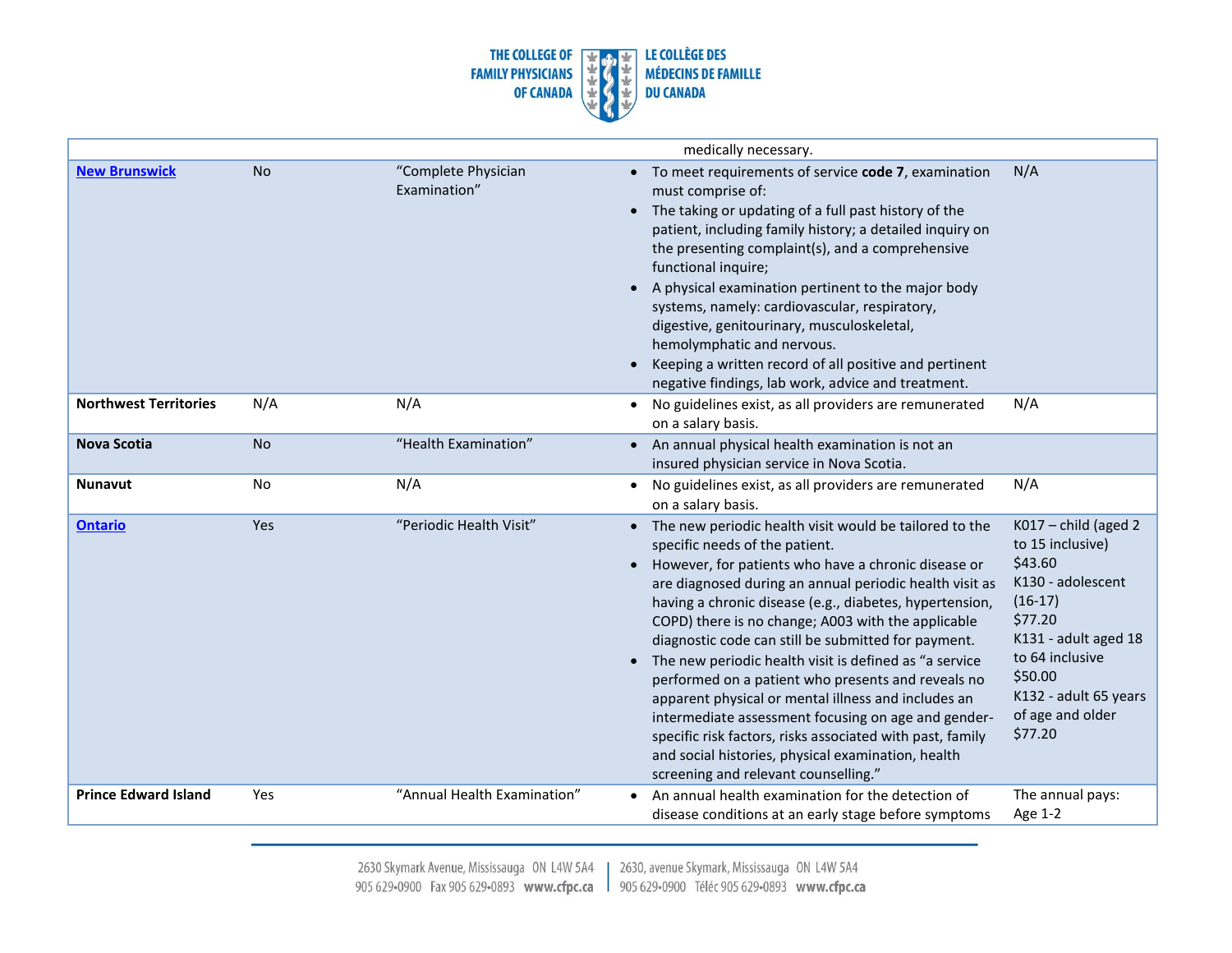

|                              |           |                                     | medically necessary.                                                                                                                                                                                                                                                                                                                                                                                                                                                                                                                                                                                                                                                                                                                                                                                                                                                                                                                                                                               |
|------------------------------|-----------|-------------------------------------|----------------------------------------------------------------------------------------------------------------------------------------------------------------------------------------------------------------------------------------------------------------------------------------------------------------------------------------------------------------------------------------------------------------------------------------------------------------------------------------------------------------------------------------------------------------------------------------------------------------------------------------------------------------------------------------------------------------------------------------------------------------------------------------------------------------------------------------------------------------------------------------------------------------------------------------------------------------------------------------------------|
| <b>New Brunswick</b>         | <b>No</b> | "Complete Physician<br>Examination" | N/A<br>• To meet requirements of service code 7, examination<br>must comprise of:<br>• The taking or updating of a full past history of the<br>patient, including family history; a detailed inquiry on<br>the presenting complaint(s), and a comprehensive<br>functional inquire;<br>A physical examination pertinent to the major body<br>systems, namely: cardiovascular, respiratory,<br>digestive, genitourinary, musculoskeletal,<br>hemolymphatic and nervous.<br>Keeping a written record of all positive and pertinent<br>negative findings, lab work, advice and treatment.                                                                                                                                                                                                                                                                                                                                                                                                              |
| <b>Northwest Territories</b> | N/A       | N/A                                 | N/A<br>No guidelines exist, as all providers are remunerated<br>on a salary basis.                                                                                                                                                                                                                                                                                                                                                                                                                                                                                                                                                                                                                                                                                                                                                                                                                                                                                                                 |
| <b>Nova Scotia</b>           | <b>No</b> | "Health Examination"                | • An annual physical health examination is not an<br>insured physician service in Nova Scotia.                                                                                                                                                                                                                                                                                                                                                                                                                                                                                                                                                                                                                                                                                                                                                                                                                                                                                                     |
| <b>Nunavut</b>               | <b>No</b> | N/A                                 | N/A<br>No guidelines exist, as all providers are remunerated<br>$\bullet$<br>on a salary basis.                                                                                                                                                                                                                                                                                                                                                                                                                                                                                                                                                                                                                                                                                                                                                                                                                                                                                                    |
| <b>Ontario</b>               | Yes       | "Periodic Health Visit"             | $K017$ – child (aged 2)<br>• The new periodic health visit would be tailored to the<br>to 15 inclusive)<br>specific needs of the patient.<br>\$43.60<br>However, for patients who have a chronic disease or<br>K130 - adolescent<br>are diagnosed during an annual periodic health visit as<br>$(16-17)$<br>having a chronic disease (e.g., diabetes, hypertension,<br>\$77.20<br>COPD) there is no change; A003 with the applicable<br>K131 - adult aged 18<br>diagnostic code can still be submitted for payment.<br>to 64 inclusive<br>The new periodic health visit is defined as "a service<br>\$50.00<br>performed on a patient who presents and reveals no<br>K132 - adult 65 years<br>apparent physical or mental illness and includes an<br>of age and older<br>intermediate assessment focusing on age and gender-<br>\$77.20<br>specific risk factors, risks associated with past, family<br>and social histories, physical examination, health<br>screening and relevant counselling." |
| <b>Prince Edward Island</b>  | Yes       | "Annual Health Examination"         | An annual health examination for the detection of<br>The annual pays:<br>Age 1-2<br>disease conditions at an early stage before symptoms                                                                                                                                                                                                                                                                                                                                                                                                                                                                                                                                                                                                                                                                                                                                                                                                                                                           |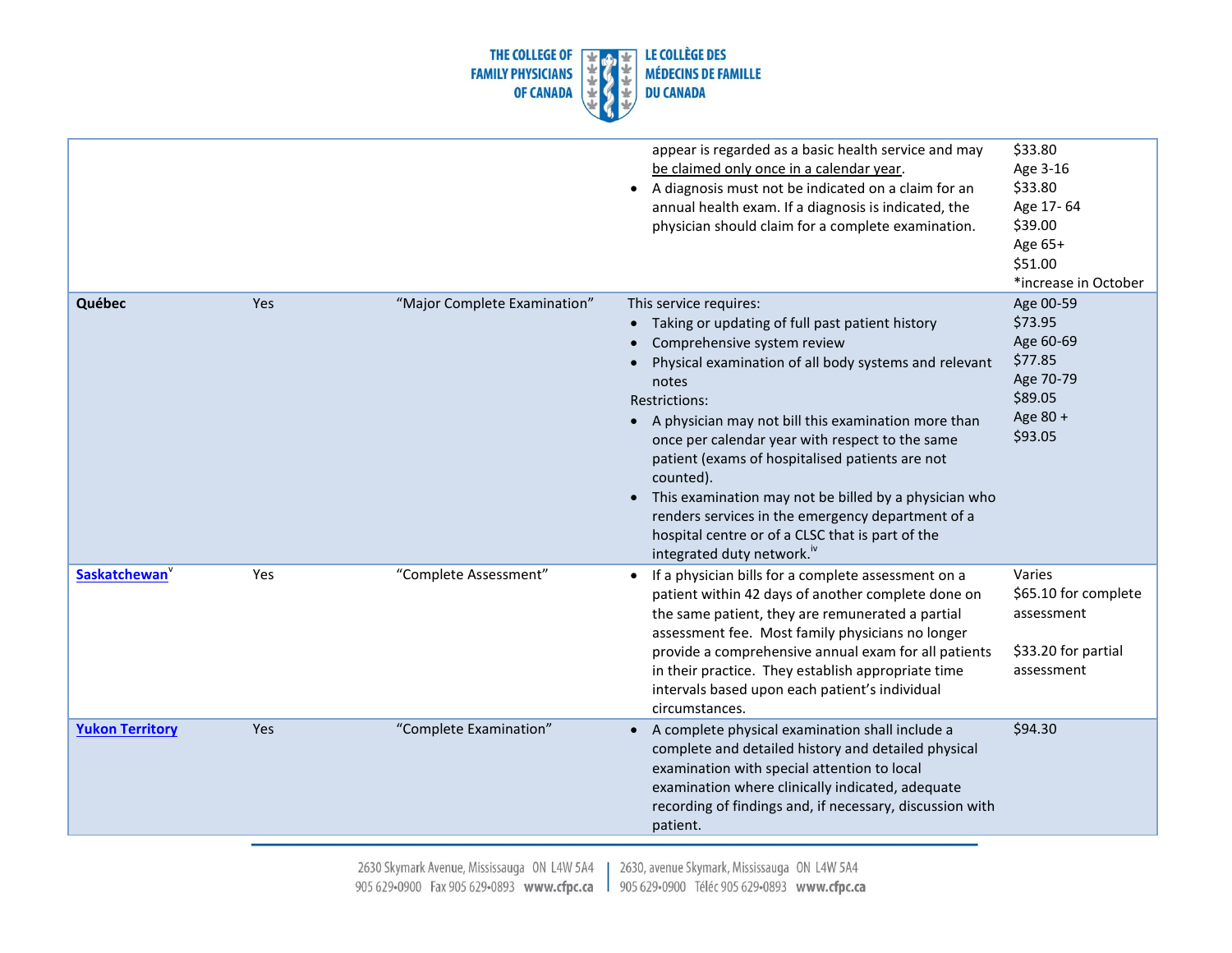

|                           |     |                              | appear is regarded as a basic health service and may<br>be claimed only once in a calendar year.<br>A diagnosis must not be indicated on a claim for an<br>$\bullet$<br>annual health exam. If a diagnosis is indicated, the<br>physician should claim for a complete examination.                                                                                                                                                                                                                                                                                                  | \$33.80<br>Age 3-16<br>\$33.80<br>Age 17-64<br>\$39.00<br>Age 65+<br>\$51.00<br>*increase in October |
|---------------------------|-----|------------------------------|-------------------------------------------------------------------------------------------------------------------------------------------------------------------------------------------------------------------------------------------------------------------------------------------------------------------------------------------------------------------------------------------------------------------------------------------------------------------------------------------------------------------------------------------------------------------------------------|------------------------------------------------------------------------------------------------------|
| Québec                    | Yes | "Major Complete Examination" | This service requires:<br>Taking or updating of full past patient history<br>$\bullet$<br>Comprehensive system review<br>Physical examination of all body systems and relevant<br>notes<br>Restrictions:<br>• A physician may not bill this examination more than<br>once per calendar year with respect to the same<br>patient (exams of hospitalised patients are not<br>counted).<br>This examination may not be billed by a physician who<br>renders services in the emergency department of a<br>hospital centre or of a CLSC that is part of the<br>integrated duty network." | Age 00-59<br>\$73.95<br>Age 60-69<br>\$77.85<br>Age 70-79<br>\$89.05<br>Age 80 +<br>\$93.05          |
| Saskatchewan <sup>V</sup> | Yes | "Complete Assessment"        | If a physician bills for a complete assessment on a<br>$\bullet$<br>patient within 42 days of another complete done on<br>the same patient, they are remunerated a partial<br>assessment fee. Most family physicians no longer<br>provide a comprehensive annual exam for all patients<br>in their practice. They establish appropriate time<br>intervals based upon each patient's individual<br>circumstances.                                                                                                                                                                    | Varies<br>\$65.10 for complete<br>assessment<br>\$33.20 for partial<br>assessment                    |
| <b>Yukon Territory</b>    | Yes | "Complete Examination"       | A complete physical examination shall include a<br>complete and detailed history and detailed physical<br>examination with special attention to local<br>examination where clinically indicated, adequate<br>recording of findings and, if necessary, discussion with<br>patient.                                                                                                                                                                                                                                                                                                   | \$94.30                                                                                              |